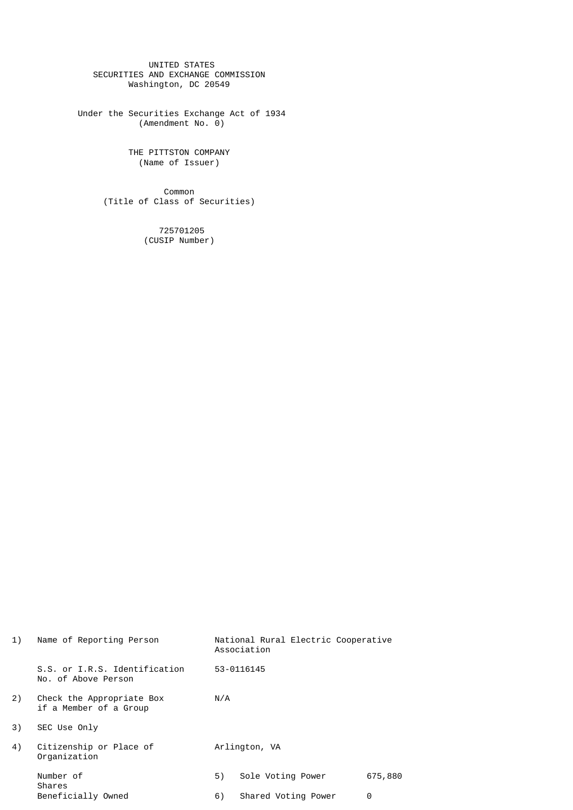UNITED STATES SECURITIES AND EXCHANGE COMMISSION Washington, DC 20549

 Under the Securities Exchange Act of 1934 (Amendment No. 0)

> THE PITTSTON COMPANY (Name of Issuer)

**Common** (Title of Class of Securities)

> 725701205 (CUSIP Number)

| 1) | Name of Reporting Person                             |               | National Rural Electric Cooperative<br>Association |         |  |
|----|------------------------------------------------------|---------------|----------------------------------------------------|---------|--|
|    | S.S. or I.R.S. Identification<br>No. of Above Person |               | 53-0116145                                         |         |  |
| 2) | Check the Appropriate Box<br>if a Member of a Group  | N/A           |                                                    |         |  |
| 3) | SEC Use Only                                         |               |                                                    |         |  |
| 4) | Citizenship or Place of<br>Organization              | Arlington, VA |                                                    |         |  |
|    | Number of                                            | 5)            | Sole Voting Power                                  | 675,880 |  |
|    | Shares<br>Beneficially Owned                         | 6)            | Shared Voting Power                                | 0       |  |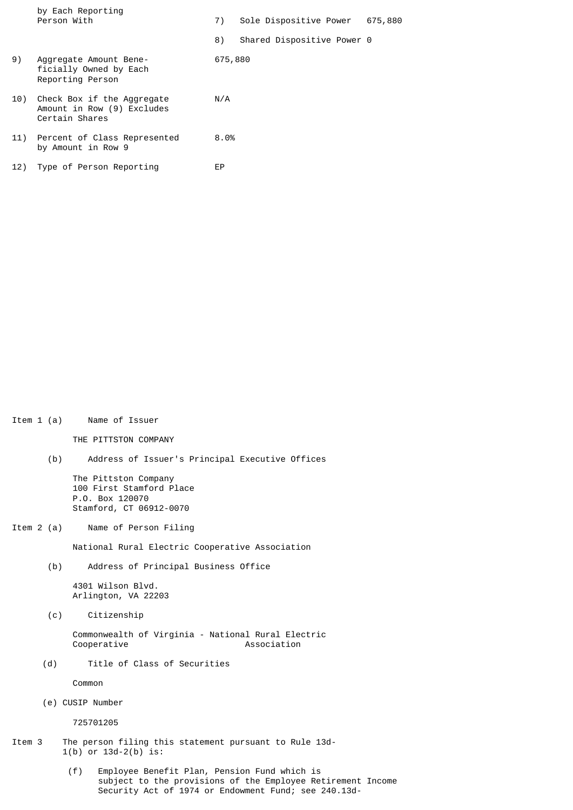|     | by Each Reporting<br>Person With                                           | 7)      | Sole Dispositive Power     | 675,880 |
|-----|----------------------------------------------------------------------------|---------|----------------------------|---------|
|     |                                                                            | 8)      | Shared Dispositive Power 0 |         |
| 9)  | Aggregate Amount Bene-<br>ficially Owned by Each<br>Reporting Person       | 675,880 |                            |         |
| 10) | Check Box if the Aggregate<br>Amount in Row (9) Excludes<br>Certain Shares | N/A     |                            |         |
|     | 11) Percent of Class Represented<br>by Amount in Row 9                     | 8.0%    |                            |         |
| 12) | Type of Person Reporting                                                   | EР      |                            |         |

Item 1 (a) Name of Issuer

THE PITTSTON COMPANY

(b) Address of Issuer's Principal Executive Offices

 The Pittston Company 100 First Stamford Place P.O. Box 120070 Stamford, CT 06912-0070

Item 2 (a) Name of Person Filing

National Rural Electric Cooperative Association

(b) Address of Principal Business Office

 4301 Wilson Blvd. Arlington, VA 22203

(c) Citizenship

 Commonwealth of Virginia - National Rural Electric Cooperative

(d) Title of Class of Securities

Common

(e) CUSIP Number

725701205

- Item 3 The person filing this statement pursuant to Rule 13d- 1(b) or 13d-2(b) is:
	- (f) Employee Benefit Plan, Pension Fund which is subject to the provisions of the Employee Retirement Income Security Act of 1974 or Endowment Fund; see 240.13d-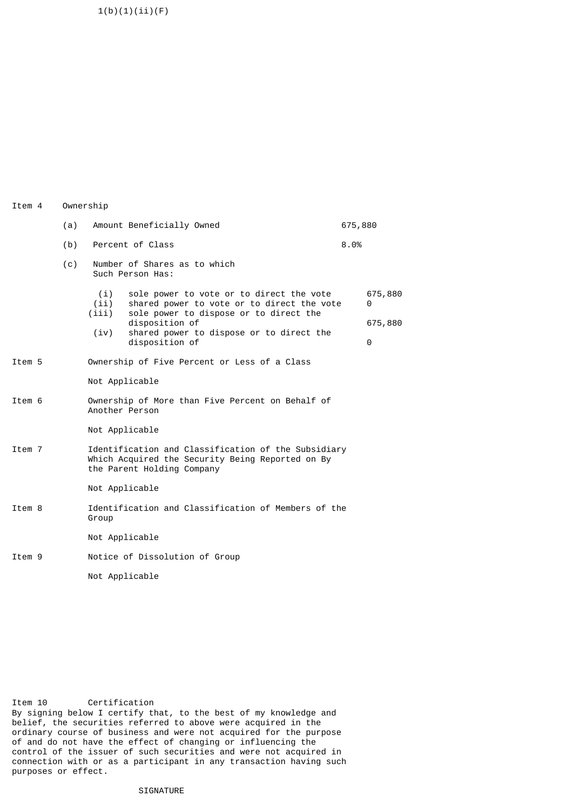$1(b)(1)(ii)(F)$ 

Item 4 Ownership

|        | (a)                                                                |                                                  | Amount Beneficially Owned                                                                                                             | 675,880      |  |  |
|--------|--------------------------------------------------------------------|--------------------------------------------------|---------------------------------------------------------------------------------------------------------------------------------------|--------------|--|--|
|        | (b)                                                                |                                                  | Percent of Class                                                                                                                      |              |  |  |
|        | (c)                                                                | Number of Shares as to which<br>Such Person Has: |                                                                                                                                       |              |  |  |
|        |                                                                    | (i)<br>(ii)<br>(iii)                             | sole power to vote or to direct the vote<br>shared power to vote or to direct the vote<br>sole power to dispose or to direct the      | 675,880<br>0 |  |  |
|        |                                                                    |                                                  | disposition of                                                                                                                        | 675,880      |  |  |
|        |                                                                    | (iv)                                             | shared power to dispose or to direct the<br>disposition of                                                                            | 0            |  |  |
| Item 5 |                                                                    |                                                  | Ownership of Five Percent or Less of a Class                                                                                          |              |  |  |
|        |                                                                    | Not Applicable                                   |                                                                                                                                       |              |  |  |
| Item 6 | Ownership of More than Five Percent on Behalf of<br>Another Person |                                                  |                                                                                                                                       |              |  |  |
|        |                                                                    |                                                  | Not Applicable                                                                                                                        |              |  |  |
| Item 7 |                                                                    |                                                  | Identification and Classification of the Subsidiary<br>Which Acquired the Security Being Reported on By<br>the Parent Holding Company |              |  |  |
|        |                                                                    |                                                  | Not Applicable                                                                                                                        |              |  |  |
| Item 8 |                                                                    | Group                                            | Identification and Classification of Members of the                                                                                   |              |  |  |
|        |                                                                    |                                                  | Not Applicable                                                                                                                        |              |  |  |
| Item 9 |                                                                    |                                                  | Notice of Dissolution of Group                                                                                                        |              |  |  |
|        |                                                                    |                                                  | Not Applicable                                                                                                                        |              |  |  |

Item 10 Certification By signing below I certify that, to the best of my knowledge and belief, the securities referred to above were acquired in the ordinary course of business and were not acquired for the purpose of and do not have the effect of changing or influencing the control of the issuer of such securities and were not acquired in connection with or as a participant in any transaction having such purposes or effect.